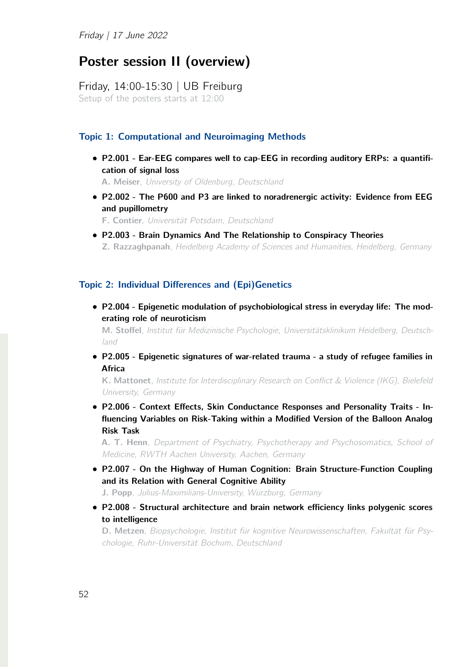# Poster session II (overview)

Friday, 14:00-15:30 | UB Freiburg Setup of the posters starts at 12:00

# Topic 1: Computational and Neuroimaging Methods

*•* P2.001 - Ear-EEG compares well to cap-EEG in recording auditory ERPs: a quantification of signal loss

A. Meiser, *University of Oldenburg, Deutschland*

*•* P2.002 - The P600 and P3 are linked to noradrenergic activity: Evidence from EEG and pupillometry

F. Contier, *Universität Potsdam, Deutschland*

*•* P2.003 - Brain Dynamics And The Relationship to Conspiracy Theories Z. Razzaghpanah, *Heidelberg Academy of Sciences and Humanities, Heidelberg, Germany*

#### Topic 2: Individual Differences and (Epi)Genetics

*•* P2.004 - Epigenetic modulation of psychobiological stress in everyday life: The moderating role of neuroticism

M. Stoffel, *Institut für Medizinische Psychologie, Universitätsklinikum Heidelberg, Deutschland*

*•* P2.005 - Epigenetic signatures of war-related trauma - a study of refugee families in Africa

K. Mattonet, *Institute for Interdisciplinary Research on Conflict & Violence (IKG), Bielefeld University, Germany*

*•* P2.006 - Context Effects, Skin Conductance Responses and Personality Traits - Influencing Variables on Risk-Taking within a Modified Version of the Balloon Analog Risk Task

A. T. Henn, *Department of Psychiatry, Psychotherapy and Psychosomatics, School of Medicine, RWTH Aachen University, Aachen, Germany*

*•* P2.007 - On the Highway of Human Cognition: Brain Structure-Function Coupling and its Relation with General Cognitive Ability

J. Popp, *Julius-Maximilians-University, Würzburg, Germany*

*•* P2.008 - Structural architecture and brain network efficiency links polygenic scores to intelligence

D. Metzen, *Biopsychologie, Institut für kognitive Neurowissenschaften, Fakultät für Psychologie, Ruhr-Universität Bochum, Deutschland*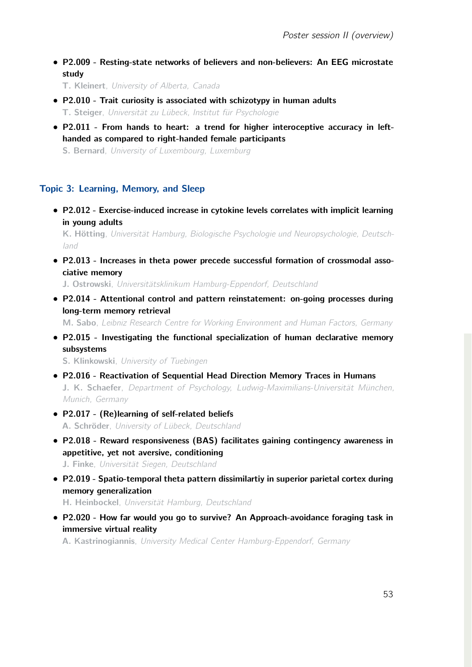*•* P2.009 - Resting-state networks of believers and non-believers: An EEG microstate study

T. Kleinert, *University of Alberta, Canada*

- *•* P2.010 Trait curiosity is associated with schizotypy in human adults T. Steiger, *Universität zu Lübeck, Institut für Psychologie*
- *•* P2.011 From hands to heart: a trend for higher interoceptive accuracy in lefthanded as compared to right-handed female participants

S. Bernard, *University of Luxembourg, Luxemburg*

# Topic 3: Learning, Memory, and Sleep

*•* P2.012 - Exercise-induced increase in cytokine levels correlates with implicit learning in young adults

K. Hötting, *Universität Hamburg, Biologische Psychologie und Neuropsychologie, Deutschland*

*•* P2.013 - Increases in theta power precede successful formation of crossmodal associative memory

J. Ostrowski, *Universitätsklinikum Hamburg-Eppendorf, Deutschland*

*•* P2.014 - Attentional control and pattern reinstatement: on-going processes during long-term memory retrieval

M. Sabo, *Leibniz Research Centre for Working Environment and Human Factors, Germany*

*•* P2.015 - Investigating the functional specialization of human declarative memory subsystems

S. Klinkowski, *University of Tuebingen*

- *•* P2.016 Reactivation of Sequential Head Direction Memory Traces in Humans J. K. Schaefer, *Department of Psychology, Ludwig-Maximilians-Universität München, Munich, Germany*
- *•* P2.017 (Re)learning of self-related beliefs A. Schröder, *University of Lübeck, Deutschland*
- *•* P2.018 Reward responsiveness (BAS) facilitates gaining contingency awareness in appetitive, yet not aversive, conditioning

J. Finke, *Universität Siegen, Deutschland*

*•* P2.019 - Spatio-temporal theta pattern dissimilartiy in superior parietal cortex during memory generalization

H. Heinbockel, *Universität Hamburg, Deutschland*

*•* P2.020 - How far would you go to survive? An Approach-avoidance foraging task in immersive virtual reality

A. Kastrinogiannis, *University Medical Center Hamburg-Eppendorf, Germany*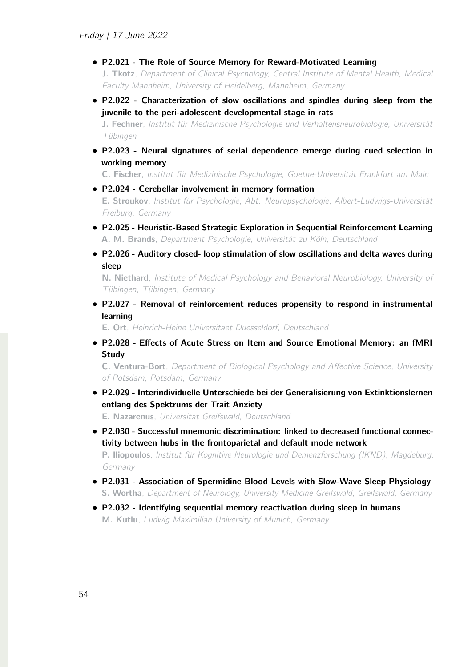*•* P2.021 - The Role of Source Memory for Reward-Motivated Learning

J. Tkotz, *Department of Clinical Psychology, Central Institute of Mental Health, Medical Faculty Mannheim, University of Heidelberg, Mannheim, Germany*

*•* P2.022 - Characterization of slow oscillations and spindles during sleep from the juvenile to the peri-adolescent developmental stage in rats

J. Fechner, *Institut für Medizinische Psychologie und Verhaltensneurobiologie, Universität Tübingen*

*•* P2.023 - Neural signatures of serial dependence emerge during cued selection in working memory

C. Fischer, *Institut für Medizinische Psychologie, Goethe-Universität Frankfurt am Main*

*•* P2.024 - Cerebellar involvement in memory formation

E. Stroukov, *Institut für Psychologie, Abt. Neuropsychologie, Albert-Ludwigs-Universität Freiburg, Germany*

- *•* P2.025 Heuristic-Based Strategic Exploration in Sequential Reinforcement Learning A. M. Brands, *Department Psychologie, Universität zu Köln, Deutschland*
- *•* P2.026 Auditory closed- loop stimulation of slow oscillations and delta waves during sleep

N. Niethard, *Institute of Medical Psychology and Behavioral Neurobiology, University of Tübingen, Tübingen, Germany*

*•* P2.027 - Removal of reinforcement reduces propensity to respond in instrumental learning

E. Ort, *Heinrich-Heine Universitaet Duesseldorf, Deutschland*

*•* P2.028 - Effects of Acute Stress on Item and Source Emotional Memory: an fMRI **Study** 

C. Ventura-Bort, *Department of Biological Psychology and A*ff*ective Science, University of Potsdam, Potsdam, Germany*

*•* P2.029 - Interindividuelle Unterschiede bei der Generalisierung von Extinktionslernen entlang des Spektrums der Trait Anxiety

E. Nazarenus, *Universität Greifswald, Deutschland*

- *•* P2.030 Successful mnemonic discrimination: linked to decreased functional connectivity between hubs in the frontoparietal and default mode network P. Iliopoulos, *Institut für Kognitive Neurologie und Demenzforschung (IKND), Magdeburg, Germany*
- *•* P2.031 Association of Spermidine Blood Levels with Slow-Wave Sleep Physiology S. Wortha, *Department of Neurology, University Medicine Greifswald, Greifswald, Germany*
- *•* P2.032 Identifying sequential memory reactivation during sleep in humans M. Kutlu, *Ludwig Maximilian University of Munich, Germany*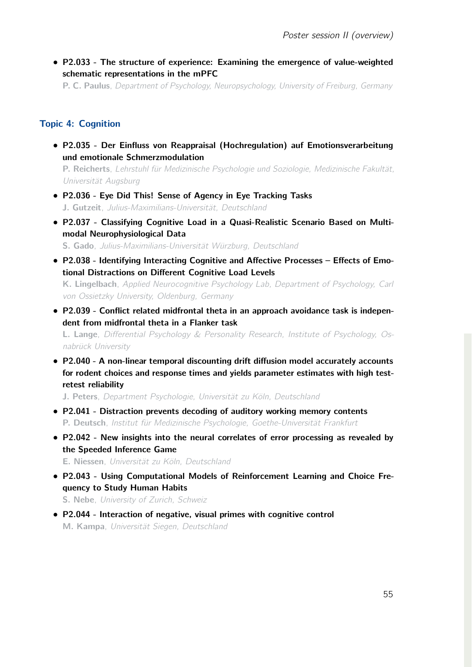*•* P2.033 - The structure of experience: Examining the emergence of value-weighted schematic representations in the mPFC

P. C. Paulus, *Department of Psychology, Neuropsychology, University of Freiburg, Germany*

#### Topic 4: Cognition

*•* P2.035 - Der Einfluss von Reappraisal (Hochregulation) auf Emotionsverarbeitung und emotionale Schmerzmodulation

P. Reicherts, *Lehrstuhl für Medizinische Psychologie und Soziologie, Medizinische Fakultät, Universität Augsburg*

- *•* P2.036 Eye Did This! Sense of Agency in Eye Tracking Tasks J. Gutzeit, *Julius-Maximilians-Universität, Deutschland*
- *•* P2.037 Classifying Cognitive Load in a Quasi-Realistic Scenario Based on Multimodal Neurophysiological Data S. Gado, *Julius-Maximilians-Universität Würzburg, Deutschland*
- *•* P2.038 Identifying Interacting Cognitive and Affective Processes Effects of Emotional Distractions on Different Cognitive Load Levels K. Lingelbach, *Applied Neurocognitive Psychology Lab, Department of Psychology, Carl*

*von Ossietzky University, Oldenburg, Germany*

*•* P2.039 - Conflict related midfrontal theta in an approach avoidance task is independent from midfrontal theta in a Flanker task L. Lange, *Di*ff*erential Psychology & Personality Research, Institute of Psychology, Os-*

*nabrück University*

*•* P2.040 - A non-linear temporal discounting drift diffusion model accurately accounts for rodent choices and response times and yields parameter estimates with high testretest reliability

J. Peters, *Department Psychologie, Universität zu Köln, Deutschland*

- *•* P2.041 Distraction prevents decoding of auditory working memory contents P. Deutsch, *Institut für Medizinische Psychologie, Goethe-Universität Frankfurt*
- *•* P2.042 New insights into the neural correlates of error processing as revealed by the Speeded Inference Game

E. Niessen, *Universität zu Köln, Deutschland*

*•* P2.043 - Using Computational Models of Reinforcement Learning and Choice Frequency to Study Human Habits

S. Nebe, *University of Zurich, Schweiz*

*•* P2.044 - Interaction of negative, visual primes with cognitive control M. Kampa, *Universität Siegen, Deutschland*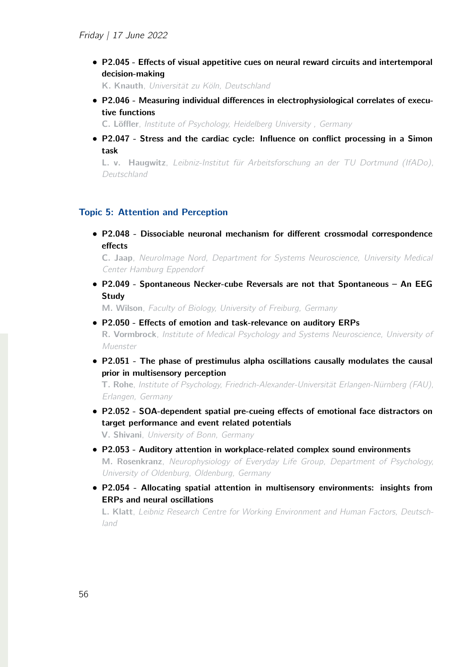*•* P2.045 - Effects of visual appetitive cues on neural reward circuits and intertemporal decision-making

K. Knauth, *Universität zu Köln, Deutschland*

*•* P2.046 - Measuring individual differences in electrophysiological correlates of executive functions

C. Löffler, *Institute of Psychology, Heidelberg University , Germany*

*•* P2.047 - Stress and the cardiac cycle: Influence on conflict processing in a Simon task

L. v. Haugwitz, *Leibniz-Institut für Arbeitsforschung an der TU Dortmund (IfADo), Deutschland*

#### Topic 5: Attention and Perception

*•* P2.048 - Dissociable neuronal mechanism for different crossmodal correspondence effects

C. Jaap, *NeuroImage Nord, Department for Systems Neuroscience, University Medical Center Hamburg Eppendorf*

*•* P2.049 - Spontaneous Necker-cube Reversals are not that Spontaneous – An EEG **Study** 

M. Wilson, *Faculty of Biology, University of Freiburg, Germany*

- *•* P2.050 Effects of emotion and task-relevance on auditory ERPs R. Vormbrock, *Institute of Medical Psychology and Systems Neuroscience, University of Muenster*
- P2.051 The phase of prestimulus alpha oscillations causally modulates the causal prior in multisensory perception

T. Rohe, *Institute of Psychology, Friedrich-Alexander-Universität Erlangen-Nürnberg (FAU), Erlangen, Germany*

*•* P2.052 - SOA-dependent spatial pre-cueing effects of emotional face distractors on target performance and event related potentials

V. Shivani, *University of Bonn, Germany*

- *•* P2.053 Auditory attention in workplace-related complex sound environments M. Rosenkranz, *Neurophysiology of Everyday Life Group, Department of Psychology, University of Oldenburg, Oldenburg, Germany*
- *•* P2.054 Allocating spatial attention in multisensory environments: insights from ERPs and neural oscillations

L. Klatt, *Leibniz Research Centre for Working Environment and Human Factors, Deutschland*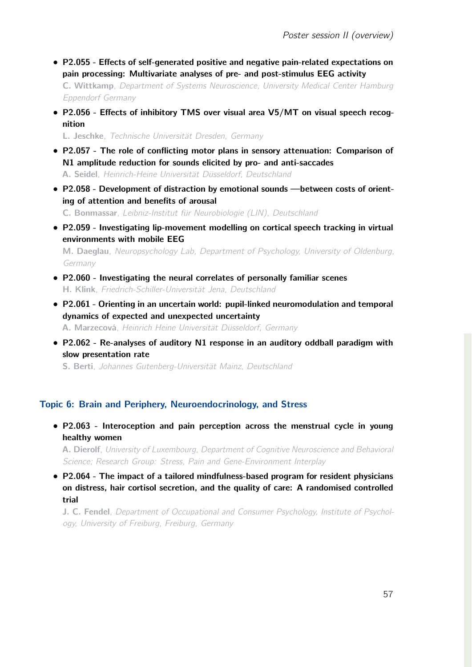- *•* P2.055 Effects of self-generated positive and negative pain-related expectations on pain processing: Multivariate analyses of pre- and post-stimulus EEG activity C. Wittkamp, *Department of Systems Neuroscience, University Medical Center Hamburg Eppendorf Germany*
- *•* P2.056 Effects of inhibitory TMS over visual area V5/MT on visual speech recognition

L. Jeschke, *Technische Universität Dresden, Germany*

- *•* P2.057 The role of conflicting motor plans in sensory attenuation: Comparison of N1 amplitude reduction for sounds elicited by pro- and anti-saccades A. Seidel, *Heinrich-Heine Universität Düsseldorf, Deutschland*
- *•* P2.058 Development of distraction by emotional sounds —between costs of orienting of attention and benefits of arousal

C. Bonmassar, *Leibniz-Institut für Neurobiologie (LIN), Deutschland*

*•* P2.059 - Investigating lip-movement modelling on cortical speech tracking in virtual environments with mobile EEG

M. Daeglau, *Neuropsychology Lab, Department of Psychology, University of Oldenburg, Germany*

- *•* P2.060 Investigating the neural correlates of personally familiar scenes H. Klink, *Friedrich-Schiller-Universität Jena, Deutschland*
- *•* P2.061 Orienting in an uncertain world: pupil-linked neuromodulation and temporal dynamics of expected and unexpected uncertainty A. Marzecová, *Heinrich Heine Universität Düsseldorf, Germany*
- *•* P2.062 Re-analyses of auditory N1 response in an auditory oddball paradigm with slow presentation rate

S. Berti, *Johannes Gutenberg-Universität Mainz, Deutschland*

#### Topic 6: Brain and Periphery, Neuroendocrinology, and Stress

*•* P2.063 - Interoception and pain perception across the menstrual cycle in young healthy women

A. Dierolf, *University of Luxembourg, Department of Cognitive Neuroscience and Behavioral Science; Research Group: Stress, Pain and Gene-Environment Interplay*

*•* P2.064 - The impact of a tailored mindfulness-based program for resident physicians on distress, hair cortisol secretion, and the quality of care: A randomised controlled trial

J. C. Fendel, *Department of Occupational and Consumer Psychology, Institute of Psychology, University of Freiburg, Freiburg, Germany*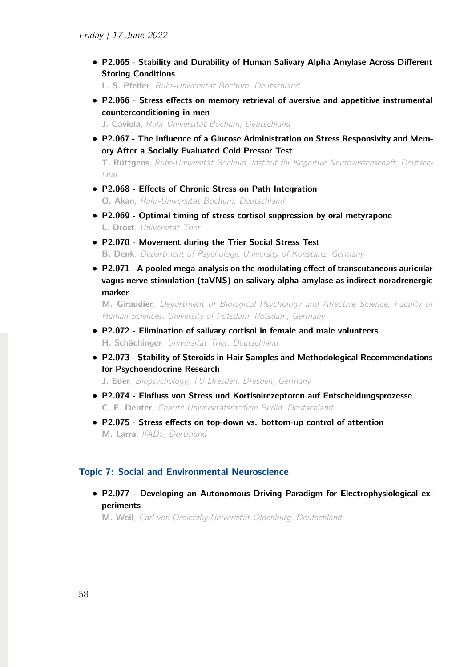*•* P2.065 - Stability and Durability of Human Salivary Alpha Amylase Across Different Storing Conditions

L. S. Pfeifer, *Ruhr-Universität Bochum, Deutschland*

*•* P2.066 - Stress effects on memory retrieval of aversive and appetitive instrumental counterconditioning in men

J. Caviola, *Ruhr-Universität Bochum, Deutschland*

*•* P2.067 - The Influence of a Glucose Administration on Stress Responsivity and Memory After a Socially Evaluated Cold Pressor Test

T. Rüttgens, *Ruhr-Universität Bochum, Institut für Kognitive Neurowissenschaft, Deutschland*

- *•* P2.068 Effects of Chronic Stress on Path Integration O. Akan, *Ruhr-Universität Bochum, Deutschland*
- *•* P2.069 Optimal timing of stress cortisol suppression by oral metyrapone L. Drost, *Universität Trier*
- *•* P2.070 Movement during the Trier Social Stress Test B. Denk, *Department of Psychology, University of Konstanz, Germany*
- *•* P2.071 A pooled mega-analysis on the modulating effect of transcutaneous auricular vagus nerve stimulation (taVNS) on salivary alpha-amylase as indirect noradrenergic marker

M. Giraudier, *Department of Biological Psychology and A*ff*ective Science, Faculty of Human Sciences, University of Potsdam, Potsdam, Germany*

- *•* P2.072 Elimination of salivary cortisol in female and male volunteers H. Schächinger, *Universität Trier, Deutschland*
- *•* P2.073 Stability of Steroids in Hair Samples and Methodological Recommendations for Psychoendocrine Research

J. Eder, *Biopsychology, TU Dresden, Dresden, Germany*

- *•* P2.074 Einfluss von Stress und Kortisolrezeptoren auf Entscheidungsprozesse C. E. Deuter, *Charité Universitätsmedizin Berlin, Deutschland*
- *•* P2.075 Stress effects on top-down vs. bottom-up control of attention M. Larra, *IfADo, Dortmund*

## Topic 7: Social and Environmental Neuroscience

*•* P2.077 - Developing an Autonomous Driving Paradigm for Electrophysiological experiments

M. Weil, *Carl von Ossietzky Universität Oldenburg, Deutschland*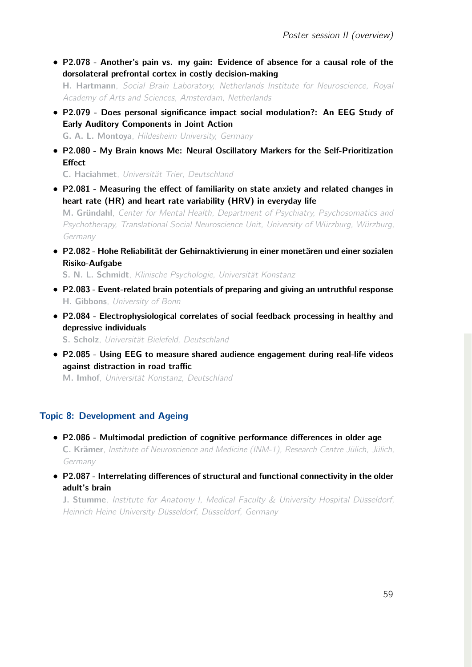*•* P2.078 - Another's pain vs. my gain: Evidence of absence for a causal role of the dorsolateral prefrontal cortex in costly decision-making

H. Hartmann, *Social Brain Laboratory, Netherlands Institute for Neuroscience, Royal Academy of Arts and Sciences, Amsterdam, Netherlands*

- *•* P2.079 Does personal significance impact social modulation?: An EEG Study of Early Auditory Components in Joint Action G. A. L. Montoya, *Hildesheim University, Germany*
- *•* P2.080 My Brain knows Me: Neural Oscillatory Markers for the Self-Prioritization **Effect**

C. Haciahmet, *Universität Trier, Deutschland*

*•* P2.081 - Measuring the effect of familiarity on state anxiety and related changes in heart rate (HR) and heart rate variability (HRV) in everyday life

M. Gründahl, *Center for Mental Health, Department of Psychiatry, Psychosomatics and Psychotherapy, Translational Social Neuroscience Unit, University of Würzburg, Würzburg, Germany*

*•* P2.082 - Hohe Reliabilität der Gehirnaktivierung in einer monetären und einer sozialen Risiko-Aufgabe

S. N. L. Schmidt, *Klinische Psychologie, Universität Konstanz*

- *•* P2.083 Event-related brain potentials of preparing and giving an untruthful response H. Gibbons, *University of Bonn*
- *•* P2.084 Electrophysiological correlates of social feedback processing in healthy and depressive individuals

S. Scholz, *Universität Bielefeld, Deutschland*

*•* P2.085 - Using EEG to measure shared audience engagement during real-life videos against distraction in road traffic

M. Imhof, *Universität Konstanz, Deutschland*

# Topic 8: Development and Ageing

- *•* P2.086 Multimodal prediction of cognitive performance differences in older age C. Krämer, *Institute of Neuroscience and Medicine (INM-1), Research Centre Jülich, Jülich, Germany*
- *•* P2.087 Interrelating differences of structural and functional connectivity in the older adult's brain

J. Stumme, *Institute for Anatomy I, Medical Faculty & University Hospital Düsseldorf, Heinrich Heine University Düsseldorf, Düsseldorf, Germany*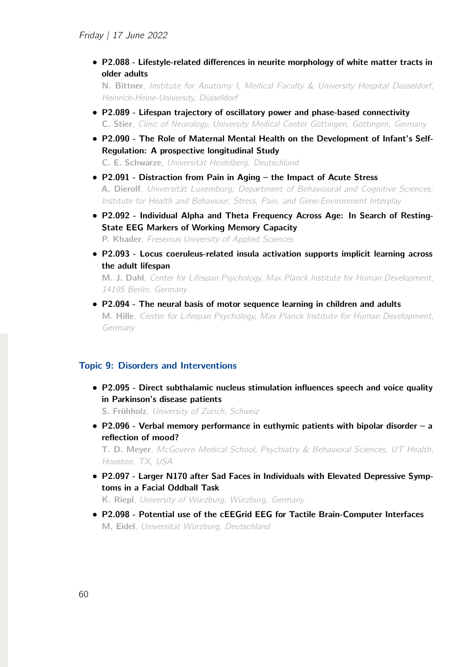*•* P2.088 - Lifestyle-related differences in neurite morphology of white matter tracts in older adults

N. Bittner, *Institute for Anatomy I, Medical Faculty & University Hospital Düsseldorf, Heinrich-Heine-University, Düsseldorf*

- *•* P2.089 Lifespan trajectory of oscillatory power and phase-based connectivity C. Stier, *Clinic of Neurology, University Medical Center Göttingen, Göttingen, Germany*
- *•* P2.090 The Role of Maternal Mental Health on the Development of Infant's Self-Regulation: A prospective longitudinal Study

C. E. Schwarze, *Universität Heidelberg, Deutschland*

- *•* P2.091 Distraction from Pain in Aging the Impact of Acute Stress A. Dierolf, *Universität Luxemburg; Department of Behavioural and Cognitive Sciences; Institute for Health and Behaviour; Stress, Pain, and Gene-Environment Interplay*
- *•* P2.092 Individual Alpha and Theta Frequency Across Age: In Search of Resting-State EEG Markers of Working Memory Capacity P. Khader, *Fresenius University of Applied Sciences*
- *•* P2.093 Locus coeruleus-related insula activation supports implicit learning across the adult lifespan

M. J. Dahl, *Center for Lifespan Psychology, Max Planck Institute for Human Development, 14195 Berlin, Germany*

*•* P2.094 - The neural basis of motor sequence learning in children and adults M. Hille, *Center for Lifespan Psychology, Max Planck Institute for Human Development, Germany*

# Topic 9: Disorders and Interventions

*•* P2.095 - Direct subthalamic nucleus stimulation influences speech and voice quality in Parkinson's disease patients

S. Frühholz, *University of Zurich, Schweiz*

*•* P2.096 - Verbal memory performance in euthymic patients with bipolar disorder – a reflection of mood?

T. D. Meyer, *McGovern Medical School, Psychiatry & Behavioral Sciences, UT Health, Houston, TX, USA*

*•* P2.097 - Larger N170 after Sad Faces in Individuals with Elevated Depressive Symptoms in a Facial Oddball Task

K. Riepl, *University of Würzburg, Würzburg, Germany*

*•* P2.098 - Potential use of the cEEGrid EEG for Tactile Brain-Computer Interfaces M. Eidel, *Universität Würzburg, Deutschland*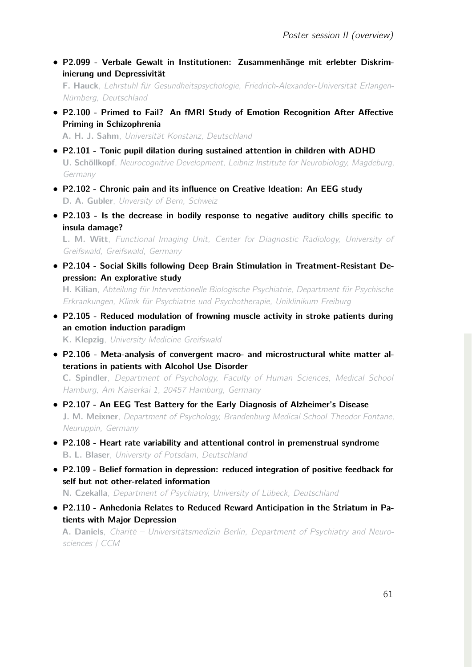*•* P2.099 - Verbale Gewalt in Institutionen: Zusammenhänge mit erlebter Diskriminierung und Depressivität

F. Hauck, *Lehrstuhl für Gesundheitspsychologie, Friedrich-Alexander-Universität Erlangen-Nürnberg, Deutschland*

*•* P2.100 - Primed to Fail? An fMRI Study of Emotion Recognition After Affective Priming in Schizophrenia

A. H. J. Sahm, *Universität Konstanz, Deutschland*

- *•* P2.101 Tonic pupil dilation during sustained attention in children with ADHD U. Schöllkopf, *Neurocognitive Development, Leibniz Institute for Neurobiology, Magdeburg, Germany*
- *•* P2.102 Chronic pain and its influence on Creative Ideation: An EEG study D. A. Gubler, *Unversity of Bern, Schweiz*
- *•* P2.103 Is the decrease in bodily response to negative auditory chills specific to insula damage?

L. M. Witt, *Functional Imaging Unit, Center for Diagnostic Radiology, University of Greifswald, Greifswald, Germany*

- *•* P2.104 Social Skills following Deep Brain Stimulation in Treatment-Resistant Depression: An explorative study H. Kilian, *Abteilung für Interventionelle Biologische Psychiatrie, Department für Psychische Erkrankungen, Klinik für Psychiatrie und Psychotherapie, Uniklinikum Freiburg*
- *•* P2.105 Reduced modulation of frowning muscle activity in stroke patients during an emotion induction paradigm

K. Klepzig, *University Medicine Greifswald*

*•* P2.106 - Meta-analysis of convergent macro- and microstructural white matter alterations in patients with Alcohol Use Disorder

C. Spindler, *Department of Psychology, Faculty of Human Sciences, Medical School Hamburg, Am Kaiserkai 1, 20457 Hamburg, Germany*

- *•* P2.107 An EEG Test Battery for the Early Diagnosis of Alzheimer's Disease J. M. Meixner, *Department of Psychology, Brandenburg Medical School Theodor Fontane, Neuruppin, Germany*
- *•* P2.108 Heart rate variability and attentional control in premenstrual syndrome B. L. Blaser, *University of Potsdam, Deutschland*
- *•* P2.109 Belief formation in depression: reduced integration of positive feedback for self but not other-related information

N. Czekalla, *Department of Psychiatry, University of Lübeck, Deutschland*

*•* P2.110 - Anhedonia Relates to Reduced Reward Anticipation in the Striatum in Patients with Major Depression

A. Daniels, *Charité – Universitätsmedizin Berlin, Department of Psychiatry and Neurosciences | CCM*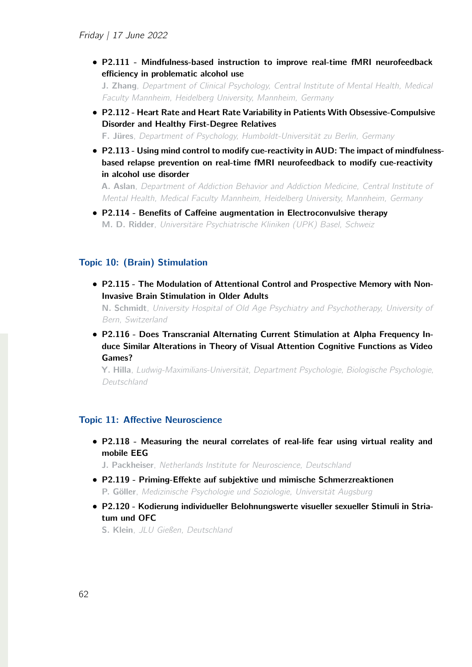*•* P2.111 - Mindfulness-based instruction to improve real-time fMRI neurofeedback efficiency in problematic alcohol use

J. Zhang, *Department of Clinical Psychology, Central Institute of Mental Health, Medical Faculty Mannheim, Heidelberg University, Mannheim, Germany*

- *•* P2.112 Heart Rate and Heart Rate Variability in Patients With Obsessive-Compulsive Disorder and Healthy First-Degree Relatives F. Jüres, *Department of Psychology, Humboldt-Universität zu Berlin, Germany*
- *•* P2.113 Using mind control to modify cue-reactivity in AUD: The impact of mindfulnessbased relapse prevention on real-time fMRI neurofeedback to modify cue-reactivity in alcohol use disorder

A. Aslan, *Department of Addiction Behavior and Addiction Medicine, Central Institute of Mental Health, Medical Faculty Mannheim, Heidelberg University, Mannheim, Germany*

*•* P2.114 - Benefits of Caffeine augmentation in Electroconvulsive therapy M. D. Ridder, *Universitäre Psychiatrische Kliniken (UPK) Basel, Schweiz*

# Topic 10: (Brain) Stimulation

*•* P2.115 - The Modulation of Attentional Control and Prospective Memory with Non-Invasive Brain Stimulation in Older Adults

N. Schmidt, *University Hospital of Old Age Psychiatry and Psychotherapy, University of Bern, Switzerland*

*•* P2.116 - Does Transcranial Alternating Current Stimulation at Alpha Frequency Induce Similar Alterations in Theory of Visual Attention Cognitive Functions as Video Games?

Y. Hilla, *Ludwig-Maximilians-Universität, Department Psychologie, Biologische Psychologie, Deutschland*

#### Topic 11: Affective Neuroscience

*•* P2.118 - Measuring the neural correlates of real-life fear using virtual reality and mobile EEG

J. Packheiser, *Netherlands Institute for Neuroscience, Deutschland*

- *•* P2.119 Priming-Effekte auf subjektive und mimische Schmerzreaktionen P. Göller, *Medizinische Psychologie und Soziologie, Universität Augsburg*
- *•* P2.120 Kodierung individueller Belohnungswerte visueller sexueller Stimuli in Striatum und OFC

S. Klein, *JLU Gießen, Deutschland*